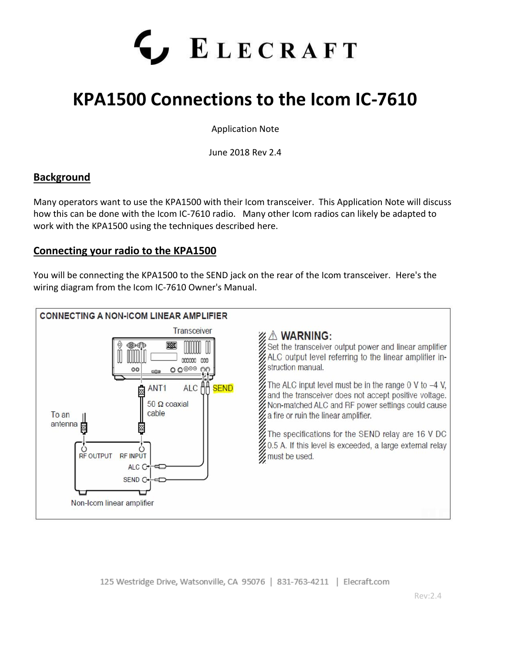

# **KPA1500 Connections to the Icom IC-7610**

Application Note

June 2018 Rev 2.4

## **Background**

Many operators want to use the KPA1500 with their Icom transceiver. This Application Note will discuss how this can be done with the Icom IC-7610 radio. Many other Icom radios can likely be adapted to work with the KPA1500 using the techniques described here.

## **Connecting your radio to the KPA1500**

You will be connecting the KPA1500 to the SEND jack on the rear of the Icom transceiver. Here's the wiring diagram from the Icom IC-7610 Owner's Manual.



125 Westridge Drive, Watsonville, CA 95076 | 831-763-4211 | Elecraft.com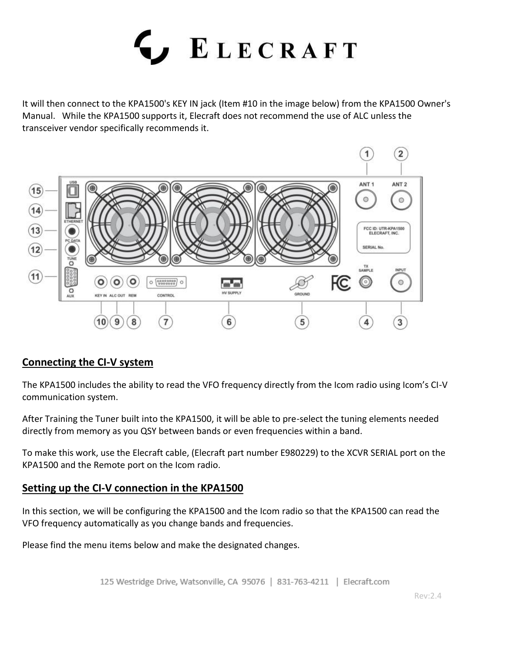

It will then connect to the KPA1500's KEY IN jack (Item #10 in the image below) from the KPA1500 Owner's Manual. While the KPA1500 supports it, Elecraft does not recommend the use of ALC unless the transceiver vendor specifically recommends it.



## **Connecting the CI-V system**

The KPA1500 includes the ability to read the VFO frequency directly from the Icom radio using Icom's CI-V communication system.

After Training the Tuner built into the KPA1500, it will be able to pre-select the tuning elements needed directly from memory as you QSY between bands or even frequencies within a band.

To make this work, use the Elecraft cable, (Elecraft part number E980229) to the XCVR SERIAL port on the KPA1500 and the Remote port on the Icom radio.

## **Setting up the CI-V connection in the KPA1500**

In this section, we will be configuring the KPA1500 and the Icom radio so that the KPA1500 can read the VFO frequency automatically as you change bands and frequencies.

Please find the menu items below and make the designated changes.

125 Westridge Drive, Watsonville, CA 95076 | 831-763-4211 | Elecraft.com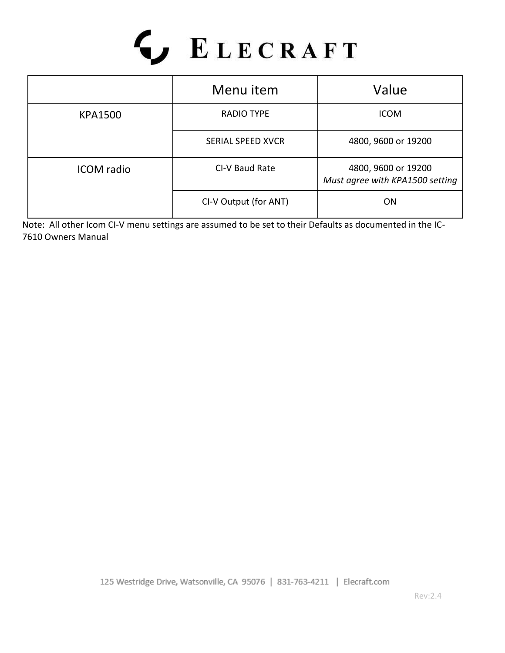

|                   | Menu item                | Value                                                  |  |  |
|-------------------|--------------------------|--------------------------------------------------------|--|--|
| <b>KPA1500</b>    | <b>RADIO TYPE</b>        | <b>ICOM</b>                                            |  |  |
|                   | <b>SERIAL SPEED XVCR</b> | 4800, 9600 or 19200                                    |  |  |
| <b>ICOM</b> radio | CI-V Baud Rate           | 4800, 9600 or 19200<br>Must agree with KPA1500 setting |  |  |
|                   | CI-V Output (for ANT)    | 0 <sub>N</sub>                                         |  |  |

Note: All other Icom CI-V menu settings are assumed to be set to their Defaults as documented in the IC-7610 Owners Manual

125 Westridge Drive, Watsonville, CA 95076 | 831-763-4211 | Elecraft.com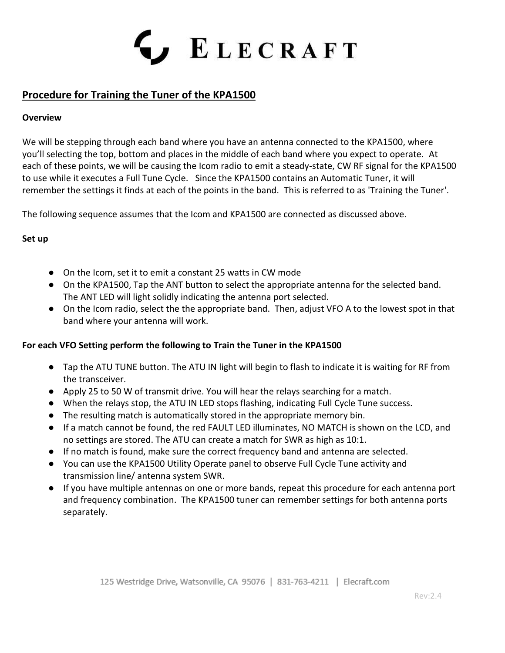

# **Procedure for Training the Tuner of the KPA1500**

#### **Overview**

We will be stepping through each band where you have an antenna connected to the KPA1500, where you'll selecting the top, bottom and places in the middle of each band where you expect to operate. At each of these points, we will be causing the Icom radio to emit a steady-state, CW RF signal for the KPA1500 to use while it executes a Full Tune Cycle. Since the KPA1500 contains an Automatic Tuner, it will remember the settings it finds at each of the points in the band. This is referred to as 'Training the Tuner'.

The following sequence assumes that the Icom and KPA1500 are connected as discussed above.

### **Set up**

- On the Icom, set it to emit a constant 25 watts in CW mode
- On the KPA1500, Tap the ANT button to select the appropriate antenna for the selected band. The ANT LED will light solidly indicating the antenna port selected.
- On the Icom radio, select the the appropriate band. Then, adjust VFO A to the lowest spot in that band where your antenna will work.

#### **For each VFO Setting perform the following to Train the Tuner in the KPA1500**

- Tap the ATU TUNE button. The ATU IN light will begin to flash to indicate it is waiting for RF from the transceiver.
- Apply 25 to 50 W of transmit drive. You will hear the relays searching for a match.
- When the relays stop, the ATU IN LED stops flashing, indicating Full Cycle Tune success.
- The resulting match is automatically stored in the appropriate memory bin.
- If a match cannot be found, the red FAULT LED illuminates, NO MATCH is shown on the LCD, and no settings are stored. The ATU can create a match for SWR as high as 10:1.
- If no match is found, make sure the correct frequency band and antenna are selected.
- You can use the KPA1500 Utility Operate panel to observe Full Cycle Tune activity and transmission line/ antenna system SWR.
- If you have multiple antennas on one or more bands, repeat this procedure for each antenna port and frequency combination. The KPA1500 tuner can remember settings for both antenna ports separately.